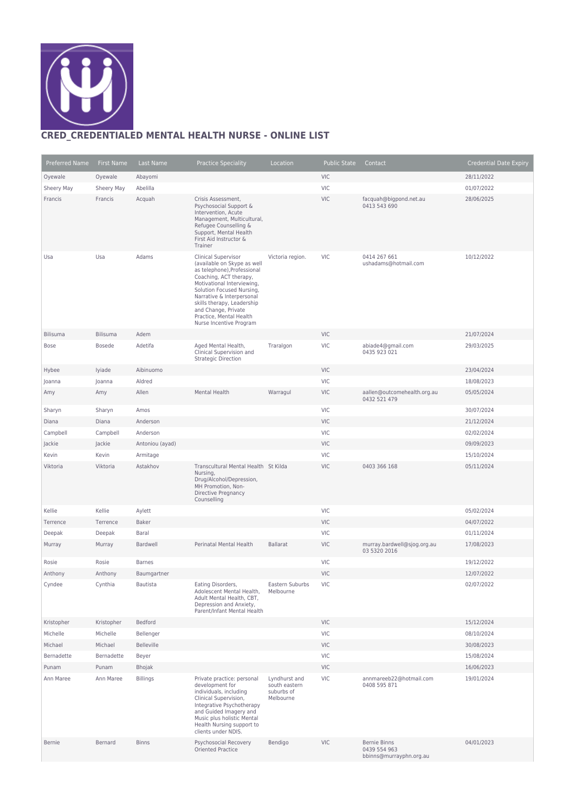

## **CRED\_CREDENTIALED MENTAL HEALTH NURSE - ONLINE LIST**

| Preferred Name | <b>First Name</b> | Last Name         | <b>Practice Speciality</b>                                                                                                                                                                                                                                                                                     | Location                                                  | <b>Public State</b> | Contact                                                        | <b>Credential Date Expiry</b> |
|----------------|-------------------|-------------------|----------------------------------------------------------------------------------------------------------------------------------------------------------------------------------------------------------------------------------------------------------------------------------------------------------------|-----------------------------------------------------------|---------------------|----------------------------------------------------------------|-------------------------------|
| Oyewale        | Oyewale           | Abayomi           |                                                                                                                                                                                                                                                                                                                |                                                           | <b>VIC</b>          |                                                                | 28/11/2022                    |
| Sheery May     | Sheery May        | Abelilla          |                                                                                                                                                                                                                                                                                                                |                                                           | <b>VIC</b>          |                                                                | 01/07/2022                    |
| Francis        | Francis           | Acquah            | Crisis Assessment,<br>Psychosocial Support &<br>Intervention, Acute<br>Management, Multicultural,<br>Refugee Counselling &<br>Support, Mental Health<br>First Aid Instructor &<br>Trainer                                                                                                                      |                                                           | <b>VIC</b>          | facquah@bigpond.net.au<br>0413 543 690                         | 28/06/2025                    |
| Usa            | Usa               | Adams             | Clinical Supervisor<br>(available on Skype as well<br>as telephone), Professional<br>Coaching, ACT therapy,<br>Motivational Interviewing,<br>Solution Focused Nursing,<br>Narrative & Interpersonal<br>skills therapy, Leadership<br>and Change, Private<br>Practice, Mental Health<br>Nurse Incentive Program | Victoria region.                                          | <b>VIC</b>          | 0414 267 661<br>ushadams@hotmail.com                           | 10/12/2022                    |
| Bilisuma       | <b>Bilisuma</b>   | Adem              |                                                                                                                                                                                                                                                                                                                |                                                           | <b>VIC</b>          |                                                                | 21/07/2024                    |
| Bose           | <b>Bosede</b>     | Adetifa           | Aged Mental Health,<br>Clinical Supervision and<br><b>Strategic Direction</b>                                                                                                                                                                                                                                  | Traralgon                                                 | <b>VIC</b>          | abiade4@gmail.com<br>0435 923 021                              | 29/03/2025                    |
| Hybee          | lyiade            | Aibinuomo         |                                                                                                                                                                                                                                                                                                                |                                                           | <b>VIC</b>          |                                                                | 23/04/2024                    |
| Joanna         | Joanna            | Aldred            |                                                                                                                                                                                                                                                                                                                |                                                           | <b>VIC</b>          |                                                                | 18/08/2023                    |
| Amy            | Amy               | Allen             | Mental Health                                                                                                                                                                                                                                                                                                  | Warragul                                                  | <b>VIC</b>          | aallen@outcomehealth.org.au<br>0432 521 479                    | 05/05/2024                    |
| Sharyn         | Sharyn            | Amos              |                                                                                                                                                                                                                                                                                                                |                                                           | <b>VIC</b>          |                                                                | 30/07/2024                    |
| Diana          | Diana             | Anderson          |                                                                                                                                                                                                                                                                                                                |                                                           | <b>VIC</b>          |                                                                | 21/12/2024                    |
| Campbell       | Campbell          | Anderson          |                                                                                                                                                                                                                                                                                                                |                                                           | <b>VIC</b>          |                                                                | 02/02/2024                    |
| Jackie         | Jackie            | Antoniou (ayad)   |                                                                                                                                                                                                                                                                                                                |                                                           | <b>VIC</b>          |                                                                | 09/09/2023                    |
| Kevin          | Kevin             | Armitage          |                                                                                                                                                                                                                                                                                                                |                                                           | <b>VIC</b>          |                                                                | 15/10/2024                    |
| Viktoria       | Viktoria          | Astakhov          | Transcultural Mental Health St Kilda<br>Nursing,<br>Drug/Alcohol/Depression,<br>MH Promotion, Non-<br>Directive Pregnancy<br>Counselling                                                                                                                                                                       |                                                           | <b>VIC</b>          | 0403 366 168                                                   | 05/11/2024                    |
| Kellie         | Kellie            | Aylett            |                                                                                                                                                                                                                                                                                                                |                                                           | <b>VIC</b>          |                                                                | 05/02/2024                    |
| Terrence       | Terrence          | <b>Baker</b>      |                                                                                                                                                                                                                                                                                                                |                                                           | <b>VIC</b>          |                                                                | 04/07/2022                    |
| Deepak         | Deepak            | Baral             |                                                                                                                                                                                                                                                                                                                |                                                           | <b>VIC</b>          |                                                                | 01/11/2024                    |
| Murray         | Murray            | Bardwell          | Perinatal Mental Health                                                                                                                                                                                                                                                                                        | <b>Ballarat</b>                                           | <b>VIC</b>          | murray.bardwell@sjog.org.au<br>03 5320 2016                    | 17/08/2023                    |
| Rosie          | Rosie             | <b>Barnes</b>     |                                                                                                                                                                                                                                                                                                                |                                                           | <b>VIC</b>          |                                                                | 19/12/2022                    |
| Anthony        | Anthony           | Baumgartner       |                                                                                                                                                                                                                                                                                                                |                                                           | <b>VIC</b>          |                                                                | 12/07/2022                    |
| Cyndee         | Cynthia           | Bautista          | Eating Disorders,<br>Adolescent Mental Health,<br>Adult Mental Health, CBT,<br>Depression and Anxiety,<br>Parent/Infant Mental Health                                                                                                                                                                          | Eastern Suburbs<br>Melbourne                              | <b>VIC</b>          |                                                                | 02/07/2022                    |
| Kristopher     | Kristopher        | Bedford           |                                                                                                                                                                                                                                                                                                                |                                                           | <b>VIC</b>          |                                                                | 15/12/2024                    |
| Michelle       | Michelle          | Bellenger         |                                                                                                                                                                                                                                                                                                                |                                                           | <b>VIC</b>          |                                                                | 08/10/2024                    |
| Michael        | Michael           | <b>Belleville</b> |                                                                                                                                                                                                                                                                                                                |                                                           | <b>VIC</b>          |                                                                | 30/08/2023                    |
| Bernadette     | Bernadette        | Beyer             |                                                                                                                                                                                                                                                                                                                |                                                           | <b>VIC</b>          |                                                                | 15/08/2024                    |
| Punam          | Punam             | Bhojak            |                                                                                                                                                                                                                                                                                                                |                                                           | <b>VIC</b>          |                                                                | 16/06/2023                    |
| Ann Maree      | Ann Maree         | <b>Billings</b>   | Private practice: personal<br>development for<br>individuals, including<br>Clinical Supervision,<br>Integrative Psychotherapy<br>and Guided Imagery and<br>Music plus holistic Mental<br>Health Nursing support to<br>clients under NDIS.                                                                      | Lyndhurst and<br>south eastern<br>suburbs of<br>Melbourne | <b>VIC</b>          | annmareeb22@hotmail.com<br>0408 595 871                        | 19/01/2024                    |
| <b>Bernie</b>  | Bernard           | <b>Binns</b>      | Psychosocial Recovery<br><b>Oriented Practice</b>                                                                                                                                                                                                                                                              | Bendigo                                                   | <b>VIC</b>          | <b>Bernie Binns</b><br>0439 554 963<br>bbinns@murrayphn.org.au | 04/01/2023                    |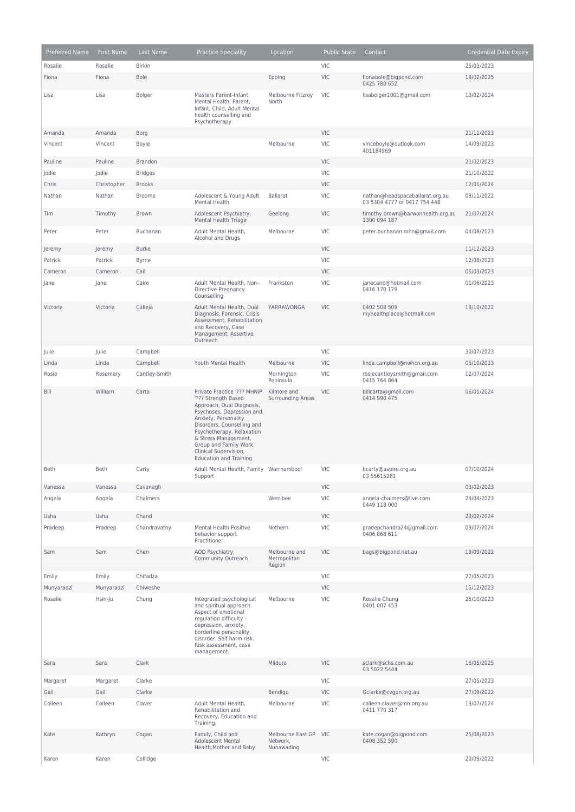| <b>Preferred Name</b> | <b>First Name</b> | Last Name      | <b>Practice Speciality</b>                                                                                                                                                                                                                                                                                  | Location                                    | <b>Public State</b> | Contact                                                         | <b>Credential Date Expiry</b> |
|-----------------------|-------------------|----------------|-------------------------------------------------------------------------------------------------------------------------------------------------------------------------------------------------------------------------------------------------------------------------------------------------------------|---------------------------------------------|---------------------|-----------------------------------------------------------------|-------------------------------|
| Rosalie               | Rosalie           | <b>Birkin</b>  |                                                                                                                                                                                                                                                                                                             |                                             | <b>VIC</b>          |                                                                 | 25/03/2023                    |
| Fiona                 | Fiona             | <b>Bole</b>    |                                                                                                                                                                                                                                                                                                             | Epping                                      | <b>VIC</b>          | fionabole@bigpond.com<br>0425 780 652                           | 18/02/2025                    |
| Lisa                  | Lisa              | <b>Bolger</b>  | <b>Masters Parent-Infant</b><br>Mental Health. Parent,<br>Infant, Child, Adult Mental<br>health counselling and<br>Psychotherapy                                                                                                                                                                            | Melbourne Fitzroy<br>North                  | <b>VIC</b>          | lisabolger1001@gmail.com                                        | 13/02/2024                    |
| Amanda                | Amanda            | Borg           |                                                                                                                                                                                                                                                                                                             |                                             | <b>VIC</b>          |                                                                 | 21/11/2023                    |
| Vincent               | Vincent           | Boyle          |                                                                                                                                                                                                                                                                                                             | Melbourne                                   | VIC                 | vinceboyle@outlook.com<br>401184969                             | 14/09/2023                    |
| Pauline               | Pauline           | Brandon        |                                                                                                                                                                                                                                                                                                             |                                             | <b>VIC</b>          |                                                                 | 21/02/2023                    |
| Jodie                 | Jodie             | <b>Bridges</b> |                                                                                                                                                                                                                                                                                                             |                                             | VIC                 |                                                                 | 21/10/2022                    |
| Chris                 | Christopher       | <b>Brooks</b>  |                                                                                                                                                                                                                                                                                                             |                                             | <b>VIC</b>          |                                                                 | 12/01/2024                    |
| Nathan                | Nathan            | <b>Broome</b>  | Adolescent & Young Adult<br>Mental Health                                                                                                                                                                                                                                                                   | <b>Ballarat</b>                             | <b>VIC</b>          | nathan@headspaceballarat.org.au<br>03 5304 4777 or 0417 754 448 | 08/11/2022                    |
| Tim                   | Timothy           | Brown          | Adolescent Psychiatry,<br>Mental Health Triage                                                                                                                                                                                                                                                              | Geelong                                     | <b>VIC</b>          | timothy.brown@barwonhealth.org.au<br>1300 094 187               | 21/07/2024                    |
| Peter                 | Peter             | Buchanan       | Adult Mental Health,<br>Alcohol and Drugs                                                                                                                                                                                                                                                                   | Melbourne                                   | <b>VIC</b>          | peter.buchanan.mhn@gmail.com                                    | 04/08/2023                    |
| Jeremy                | Jeremy            | <b>Burke</b>   |                                                                                                                                                                                                                                                                                                             |                                             | VIC                 |                                                                 | 11/12/2023                    |
| Patrick               | Patrick           | <b>Byrne</b>   |                                                                                                                                                                                                                                                                                                             |                                             | VIC                 |                                                                 | 12/08/2023                    |
| Cameron               | Cameron           | Cail           |                                                                                                                                                                                                                                                                                                             |                                             | <b>VIC</b>          |                                                                 | 06/03/2023                    |
| Jane                  | Jane              | Cairo          | Adult Mental Health, Non-<br>Directive Pregnancy<br>Counselling                                                                                                                                                                                                                                             | Frankston                                   | VIC                 | janecairo@hotmail.com<br>0416 170 179                           | 01/06/2023                    |
| Victoria              | Victoria          | Calleja        | Adult Mental Health, Dual<br>Diagnosis, Forensic, Crisis<br>Assessment, Rehabilitation<br>and Recovery, Case<br>Management, Assertive<br>Outreach                                                                                                                                                           | YARRAWONGA                                  | <b>VIC</b>          | 0402 508 509<br>myhealthplace@hotmail.com                       | 18/10/2022                    |
| Julie                 | Julie             | Campbell       |                                                                                                                                                                                                                                                                                                             |                                             | VIC                 |                                                                 | 30/07/2023                    |
| Linda                 | Linda             | Campbell       | Youth Mental Health                                                                                                                                                                                                                                                                                         | Melbourne                                   | <b>VIC</b>          | linda.campbell@nwhcn.org.au                                     | 06/10/2023                    |
| Rosie                 | Rosemary          | Cantley-Smith  |                                                                                                                                                                                                                                                                                                             | Mornington<br>Peninsula                     | VIC                 | rosiecantleysmith@gmail.com<br>0415 764 864                     | 12/07/2024                    |
| Bill                  | William           | Carta          | Private Practice '??? MHNIP<br>'??? Strength Based<br>Approach, Dual Diagnosis,<br>Psychoses, Depression and<br>Anxiety, Personality<br>Disorders, Counselling and<br>Psychotherapy, Relaxation<br>& Stress Management,<br>Group and Family Work,<br>Clinical Supervision,<br><b>Education and Training</b> | Kilmore and<br><b>Surrounding Areas</b>     | <b>VIC</b>          | billcarta@gmail.com<br>0414 990 475                             | 06/01/2024                    |
| <b>Beth</b>           | Beth              | Carty          | Adult Mental Health, Family Warrnambool<br>Support                                                                                                                                                                                                                                                          |                                             | <b>VIC</b>          | bcarty@aspire.org.au<br>03 55615261                             | 07/10/2024                    |
| Vanessa               | Vanessa           | Cavanagh       |                                                                                                                                                                                                                                                                                                             |                                             | <b>VIC</b>          |                                                                 | 03/02/2023                    |
| Angela                | Angela            | Chalmers       |                                                                                                                                                                                                                                                                                                             | Werribee                                    | VIC                 | angela-chalmers@live.com<br>0449 118 000                        | 24/04/2023                    |
| Usha                  | Usha              | Chand          |                                                                                                                                                                                                                                                                                                             |                                             | <b>VIC</b>          |                                                                 | 23/02/2024                    |
| Pradeep               | Pradeep           | Chandravathy   | Mental Health Positive<br>behavior support<br>Practitioner.                                                                                                                                                                                                                                                 | Nothern                                     | VIC                 | pradepchandra24@gmail.com<br>0406 868 611                       | 09/07/2024                    |
| Sam                   | Sam               | Chen           | AOD Psychiatry,<br>Community Outreach                                                                                                                                                                                                                                                                       | Melbourne and<br>Metropolitan<br>Region     | <b>VIC</b>          | bags@bigpond.net.au                                             | 19/09/2022                    |
| Emily                 | Emily             | Chifadza       |                                                                                                                                                                                                                                                                                                             |                                             | VIC                 |                                                                 | 27/05/2023                    |
| Munyaradzi            | Munyaradzi        | Chiweshe       |                                                                                                                                                                                                                                                                                                             |                                             | <b>VIC</b>          |                                                                 | 15/12/2023                    |
| Rosalie               | Hsin-Ju           | Chung          | Integrated psychological<br>and spiritual approach.<br>Aspect of emotional<br>regulation difficulty -<br>depression, anxiety,<br>borderline personality<br>disorder. Self harm risk.<br>Risk assessment, case<br>management.                                                                                | Melbourne                                   | VIC                 | Rosalie Chung<br>0401 007 453                                   | 25/10/2023                    |
| Sara                  | Sara              | Clark          |                                                                                                                                                                                                                                                                                                             | Mildura                                     | <b>VIC</b>          | sclark@schs.com.au<br>03 5022 5444                              | 16/05/2025                    |
| Margaret              | Margaret          | Clarke         |                                                                                                                                                                                                                                                                                                             |                                             | VIC                 |                                                                 | 27/05/2023                    |
| Gail                  | Gail              | Clarke         |                                                                                                                                                                                                                                                                                                             | Bendigo                                     | <b>VIC</b>          | Gclarke@cvgpn.org.au                                            | 27/09/2022                    |
| Colleen               | Colleen           | Claver         | Adult Mental Health,<br>Rehabilitation and<br>Recovery, Education and<br>Training.                                                                                                                                                                                                                          | Melbourne                                   | VIC                 | colleen.claver@mh.org.au<br>0411 770 317                        | 13/07/2024                    |
| Kate                  | Kathryn           | Cogan          | Family, Child and<br>Adolescent Mental<br>Health, Mother and Baby                                                                                                                                                                                                                                           | Melbourne East GP<br>Network,<br>Nunawading | <b>VIC</b>          | kate.cogan@bigpond.com<br>0408 352 590                          | 25/08/2023                    |
| Karen                 | Karen             | Collidge       |                                                                                                                                                                                                                                                                                                             |                                             | <b>VIC</b>          |                                                                 | 20/09/2022                    |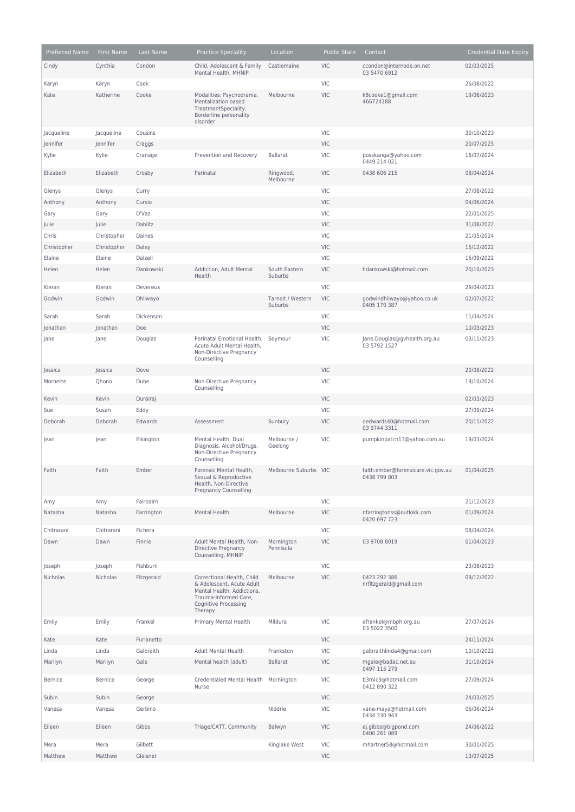| Preferred Name | <b>First Name</b> | Last Name  | <b>Practice Speciality</b>                                                                                                                               | Location                     | <b>Public State</b> | Contact                                            | <b>Credential Date Expiry</b> |
|----------------|-------------------|------------|----------------------------------------------------------------------------------------------------------------------------------------------------------|------------------------------|---------------------|----------------------------------------------------|-------------------------------|
| Cindy          | Cynthia           | Condon     | Child, Adolescent & Family<br>Mental Health, MHNIP                                                                                                       | Castlemaine                  | <b>VIC</b>          | ccondon@internode.on.net<br>03 5470 6912           | 02/03/2025                    |
| Karyn          | Karyn             | Cook       |                                                                                                                                                          |                              | <b>VIC</b>          |                                                    | 26/08/2022                    |
| Kate           | Katherine         | Cooke      | Modalities: Psychodrama,<br>Mentalization based<br>TreatmentSpeciality:<br>Borderline personality<br>disorder                                            | Melbourne                    | <b>VIC</b>          | k8cooke1@gmail.com<br>466724188                    | 19/06/2023                    |
| Jacqueline     | Jacqueline        | Cousins    |                                                                                                                                                          |                              | <b>VIC</b>          |                                                    | 30/10/2023                    |
| Jennifer       | Jennifer          | Craggs     |                                                                                                                                                          |                              | <b>VIC</b>          |                                                    | 20/07/2025                    |
| Kylie          | Kylie             | Cranage    | Prevention and Recovery                                                                                                                                  | <b>Ballarat</b>              | VIC                 | posskanga@yahoo.com<br>0449 214 021                | 16/07/2024                    |
| Elizabeth      | Elizabeth         | Crosby     | Perinatal                                                                                                                                                | Ringwood,<br>Melbourne       | <b>VIC</b>          | 0438 606 215                                       | 08/04/2024                    |
| Glenys         | Glenys            | Curry      |                                                                                                                                                          |                              | <b>VIC</b>          |                                                    | 27/08/2022                    |
| Anthony        | Anthony           | Cursio     |                                                                                                                                                          |                              | <b>VIC</b>          |                                                    | 04/06/2024                    |
| Gary           | Gary              | D'Vaz      |                                                                                                                                                          |                              | VIC                 |                                                    | 22/01/2025                    |
| Julie          | Julie             | Dahlitz    |                                                                                                                                                          |                              | <b>VIC</b>          |                                                    | 31/08/2022                    |
| Chris          | Christopher       | Daines     |                                                                                                                                                          |                              | VIC                 |                                                    | 21/05/2024                    |
| Christopher    | Christopher       | Daley      |                                                                                                                                                          |                              | <b>VIC</b>          |                                                    | 15/12/2022                    |
| Elaine         | Elaine            | Dalzell    |                                                                                                                                                          |                              | VIC                 |                                                    | 16/09/2022                    |
| Helen          | Helen             | Dankowski  | Addiction, Adult Mental<br>Health                                                                                                                        | South Eastern<br>Suburbs     | VIC                 | hdankowski@hotmail.com                             | 20/10/2023                    |
| Kieran         | Kieran            | Devereux   |                                                                                                                                                          |                              | <b>VIC</b>          |                                                    | 29/04/2023                    |
| Godwin         | Godwin            | Dhliwayo   |                                                                                                                                                          | Tarneit / Western<br>Suburbs | <b>VIC</b>          | godwindhliwayo@yahoo.co.uk<br>0405 170 387         | 02/07/2022                    |
| Sarah          | Sarah             | Dickenson  |                                                                                                                                                          |                              | <b>VIC</b>          |                                                    | 11/04/2024                    |
| Jonathan       | Jonathan          | Doe        |                                                                                                                                                          |                              | <b>VIC</b>          |                                                    | 10/03/2023                    |
| Jane           | Jane              | Douglas    | Perinatal Emotional Health,<br>Acute Adult Mental Health,<br>Non-Directive Pregnancy<br>Counselling                                                      | Seymour                      | VIC                 | Jane.Douglas@gvhealth.org.au<br>03 5792 1527       | 03/11/2023                    |
| Jessica        | Jessica           | Dove       |                                                                                                                                                          |                              | <b>VIC</b>          |                                                    | 20/08/2022                    |
| Mornette       | Qhono             | Dube       | Non-Directive Pregnancy<br>Counselling                                                                                                                   |                              | VIC                 |                                                    | 19/10/2024                    |
| Kevin          | Kevin             | Durairaj   |                                                                                                                                                          |                              | <b>VIC</b>          |                                                    | 02/03/2023                    |
| Sue            | Susan             | Eddy       |                                                                                                                                                          |                              | VIC                 |                                                    | 27/09/2024                    |
| Deborah        | Deborah           | Edwards    | Assessment                                                                                                                                               | Sunbury                      | VIC                 | dedwards40@hotmail.com<br>03 9744 3311             | 20/11/2022                    |
| Jean           | Jean              | Elkington  | Mental Health, Dual<br>Diagnosis, Alcohol/Drugs,<br>Non-Directive Pregnancy<br>Counselling                                                               | Melbourne /<br>Geelong       | <b>VIC</b>          | pumpkinpatch13@yahoo.com.au                        | 19/03/2024                    |
| Faith          | Faith             | Ember      | Forensic Mental Health,<br>Sexual & Reproductive<br>Health, Non-Directive<br><b>Pregnancy Counselling</b>                                                | Melbourne Suburbs VIC        |                     | faith.ember@forensicare.vic.gov.au<br>0438 799 803 | 01/04/2025                    |
| Amy            | Amy               | Fairbairn  |                                                                                                                                                          |                              | VIC                 |                                                    | 21/12/2023                    |
| Natasha        | Natasha           | Farrington | Mental Health                                                                                                                                            | Melbourne                    | <b>VIC</b>          | nfarringtonss@outlokk.com<br>0420 697 723          | 01/09/2024                    |
| Chitrarani     | Chitrarani        | Fichera    |                                                                                                                                                          |                              | VIC                 |                                                    | 08/04/2024                    |
| Dawn           | Dawn              | Finnie     | Adult Mental Health, Non-<br><b>Directive Pregnancy</b><br>Counselling, MHNIP                                                                            | Mornington<br>Pennisula      | <b>VIC</b>          | 03 9708 8019                                       | 01/04/2023                    |
| Joseph         | Joseph            | Fishburn   |                                                                                                                                                          |                              | VIC                 |                                                    | 23/08/2023                    |
| Nicholas       | Nicholas          | Fitzgerald | Correctional Health, Child<br>& Adolescent, Acute Adult<br>Mental Health, Addictions,<br>Trauma-Informed Care,<br><b>Cognitive Processing</b><br>Therapy | Melbourne                    | VIC                 | 0423 292 386<br>nrfitzgerald@gmail.com             | 09/12/2022                    |
| Emily          | Emily             | Frankel    | Primary Mental Health                                                                                                                                    | Mildura                      | <b>VIC</b>          | efrankel@mbph.org.au<br>03 5022 3500               | 27/07/2024                    |
| Kate           | Kate              | Furlanetto |                                                                                                                                                          |                              | <b>VIC</b>          |                                                    | 24/11/2024                    |
| Linda          | Linda             | Galbraith  | <b>Adult Mental Health</b>                                                                                                                               | Frankston                    | VIC                 | galbraithlinda4@gmail.com                          | 10/10/2022                    |
| Marilyn        | Marilyn           | Gale       | Mental health (adult)                                                                                                                                    | <b>Ballarat</b>              | <b>VIC</b>          | mgale@badac.net.au<br>0497 115 279                 | 31/10/2024                    |
| <b>Bernice</b> | <b>Bernice</b>    | George     | Credentialed Mental Health Mornington<br>Nurse                                                                                                           |                              | <b>VIC</b>          | b3rnic3@hotmail.com<br>0412 890 322                | 27/09/2024                    |
| Subin          | Subin             | George     |                                                                                                                                                          |                              | <b>VIC</b>          |                                                    | 24/03/2025                    |
| Vanesa         | Vanesa            | Gerbino    |                                                                                                                                                          | Niddrie                      | VIC                 | vane-maya@hotmail.com<br>0434 330 943              | 06/06/2024                    |
| Eileen         | Eileen            | Gibbs      | Triage/CATT, Community                                                                                                                                   | Balwyn                       | <b>VIC</b>          | ej.gibbs@bigpond.com<br>0400 261 089               | 24/06/2022                    |
| Mera           | Mera              | Gilbett    |                                                                                                                                                          | Kinglake West                | VIC                 | mhartner58@hotmail.com                             | 30/01/2025                    |
| Matthew        | Matthew           | Gleisner   |                                                                                                                                                          |                              | <b>VIC</b>          |                                                    | 13/07/2025                    |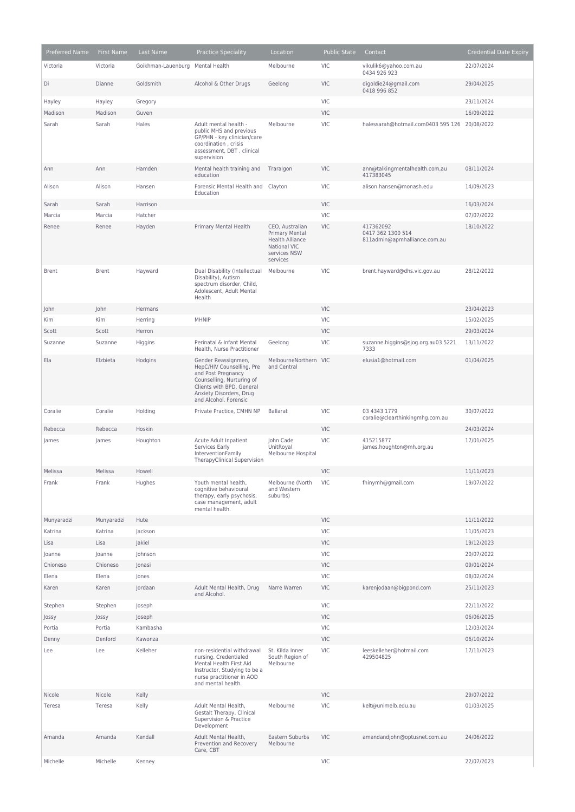| Preferred Name | First Name   | Last Name                        | <b>Practice Speciality</b>                                                                                                                                                           | Location                                                                                                       | <b>Public State</b> | Contact                                                        | <b>Credential Date Expiry</b> |
|----------------|--------------|----------------------------------|--------------------------------------------------------------------------------------------------------------------------------------------------------------------------------------|----------------------------------------------------------------------------------------------------------------|---------------------|----------------------------------------------------------------|-------------------------------|
| Victoria       | Victoria     | Goikhman-Lauenburg Mental Health |                                                                                                                                                                                      | Melbourne                                                                                                      | <b>VIC</b>          | vikulik6@yahoo.com.au<br>0434 926 923                          | 22/07/2024                    |
| Di             | Dianne       | Goldsmith                        | Alcohol & Other Drugs                                                                                                                                                                | Geelong                                                                                                        | <b>VIC</b>          | digoldie24@gmail.com<br>0418 996 852                           | 29/04/2025                    |
| Hayley         | Hayley       | Gregory                          |                                                                                                                                                                                      |                                                                                                                | VIC                 |                                                                | 23/11/2024                    |
| Madison        | Madison      | Guven                            |                                                                                                                                                                                      |                                                                                                                | <b>VIC</b>          |                                                                | 16/09/2022                    |
| Sarah          | Sarah        | Hales                            | Adult mental health -<br>public MHS and previous<br>GP/PHN - key clinician/care<br>coordination, crisis<br>assessment, DBT, clinical<br>supervision                                  | Melbourne                                                                                                      | <b>VIC</b>          | halessarah@hotmail.com0403 595 126 20/08/2022                  |                               |
| Ann            | Ann          | Hamden                           | Mental health training and<br>education                                                                                                                                              | Traralgon                                                                                                      | <b>VIC</b>          | ann@talkingmentalhealth.com,au<br>417383045                    | 08/11/2024                    |
| Alison         | Alison       | Hansen                           | Forensic Mental Health and<br>Education                                                                                                                                              | Clayton                                                                                                        | <b>VIC</b>          | alison.hansen@monash.edu                                       | 14/09/2023                    |
| Sarah          | Sarah        | Harrison                         |                                                                                                                                                                                      |                                                                                                                | <b>VIC</b>          |                                                                | 16/03/2024                    |
| Marcia         | Marcia       | Hatcher                          |                                                                                                                                                                                      |                                                                                                                | VIC                 |                                                                | 07/07/2022                    |
| Renee          | Renee        | Hayden                           | Primary Mental Health                                                                                                                                                                | CEO, Australian<br><b>Primary Mental</b><br><b>Health Alliance</b><br>National VIC<br>services NSW<br>services | <b>VIC</b>          | 417362092<br>0417 362 1300 514<br>811admin@apmhalliance.com.au | 18/10/2022                    |
| <b>Brent</b>   | <b>Brent</b> | Hayward                          | Dual Disability (Intellectual<br>Disability), Autism<br>spectrum disorder, Child,<br>Adolescent, Adult Mental<br>Health                                                              | Melbourne                                                                                                      | <b>VIC</b>          | brent.hayward@dhs.vic.gov.au                                   | 28/12/2022                    |
| John           | John         | Hermans                          |                                                                                                                                                                                      |                                                                                                                | <b>VIC</b>          |                                                                | 23/04/2023                    |
| Kim            | Kim          | Herring                          | <b>MHNIP</b>                                                                                                                                                                         |                                                                                                                | VIC                 |                                                                | 15/02/2025                    |
| Scott          | Scott        | Herron                           |                                                                                                                                                                                      |                                                                                                                | <b>VIC</b>          |                                                                | 29/03/2024                    |
| Suzanne        | Suzanne      | Higgins                          | Perinatal & Infant Mental<br>Health, Nurse Practitioner                                                                                                                              | Geelong                                                                                                        | <b>VIC</b>          | suzanne.higgins@sjog.org.au03 5221<br>7333                     | 13/11/2022                    |
| Ela            | Elzbieta     | Hodgins                          | Gender Reassignmen,<br>HepC/HIV Counselling, Pre<br>and Post Pregnancy<br>Counselling, Nurturing of<br>Clients with BPD, General<br>Anxiety Disorders, Drug<br>and Alcohol, Forensic | MelbourneNorthern<br>and Central                                                                               | <b>VIC</b>          | elusia1@hotmail.com                                            | 01/04/2025                    |
| Coralie        | Coralie      | Holding                          | Private Practice, CMHN NP                                                                                                                                                            | <b>Ballarat</b>                                                                                                | <b>VIC</b>          | 03 4343 1779<br>coralie@clearthinkingmhg.com.au                | 30/07/2022                    |
| Rebecca        | Rebecca      | Hoskin                           |                                                                                                                                                                                      |                                                                                                                | <b>VIC</b>          |                                                                | 24/03/2024                    |
| James          | James        | Houghton                         | Acute Adult Inpatient<br>Services Early<br>InterventionFamily<br>TherapyClinical Supervision                                                                                         | John Cade<br>UnitRoyal<br>Melbourne Hospital                                                                   | <b>VIC</b>          | 415215877<br>james.houghton@mh.org.au                          | 17/01/2025                    |
| Melissa        | Melissa      | Howell                           |                                                                                                                                                                                      |                                                                                                                | <b>VIC</b>          |                                                                | 11/11/2023                    |
| Frank          | Frank        | Hughes                           | Youth mental health,<br>cognitive behavioural<br>therapy, early psychosis,<br>case management, adult<br>mental health.                                                               | Melbourne (North<br>and Western<br>suburbs)                                                                    | <b>VIC</b>          | fhinymh@gmail.com                                              | 19/07/2022                    |
| Munyaradzi     | Munyaradzi   | Hute                             |                                                                                                                                                                                      |                                                                                                                | <b>VIC</b>          |                                                                | 11/11/2022                    |
| Katrina        | Katrina      | Jackson                          |                                                                                                                                                                                      |                                                                                                                | <b>VIC</b>          |                                                                | 11/05/2023                    |
| Lisa           | Lisa         | Jakiel                           |                                                                                                                                                                                      |                                                                                                                | VIC                 |                                                                | 19/12/2023                    |
| Joanne         | Joanne       | Johnson                          |                                                                                                                                                                                      |                                                                                                                | VIC                 |                                                                | 20/07/2022                    |
| Chioneso       | Chioneso     | Jonasi                           |                                                                                                                                                                                      |                                                                                                                | <b>VIC</b>          |                                                                | 09/01/2024                    |
| Elena          | Elena        | Jones                            |                                                                                                                                                                                      |                                                                                                                | VIC                 |                                                                | 08/02/2024                    |
| Karen          | Karen        | Jordaan                          | Adult Mental Health, Drug<br>and Alcohol.                                                                                                                                            | Narre Warren                                                                                                   | <b>VIC</b>          | karenjodaan@bigpond.com                                        | 25/11/2023                    |
| Stephen        | Stephen      | Joseph                           |                                                                                                                                                                                      |                                                                                                                | VIC                 |                                                                | 22/11/2022                    |
| Jossy          | Jossy        | Joseph                           |                                                                                                                                                                                      |                                                                                                                | <b>VIC</b>          |                                                                | 06/06/2025                    |
| Portia         | Portia       | Kambasha                         |                                                                                                                                                                                      |                                                                                                                | VIC                 |                                                                | 12/03/2024                    |
| Denny          | Denford      | Kawonza                          |                                                                                                                                                                                      |                                                                                                                | <b>VIC</b>          |                                                                | 06/10/2024                    |
| Lee            | Lee          | Kelleher                         | non-residential withdrawal<br>nursing. Credentialed<br>Mental Health First Aid<br>Instructor, Studying to be a<br>nurse practitioner in AOD<br>and mental health.                    | St. Kilda Inner<br>South Region of<br>Melbourne                                                                | VIC                 | leeskelleher@hotmail.com<br>429504825                          | 17/11/2023                    |
| Nicole         | Nicole       | Kelly                            |                                                                                                                                                                                      |                                                                                                                | VIC                 |                                                                | 29/07/2022                    |
| Teresa         | Teresa       | Kelly                            | Adult Mental Health,<br>Gestalt Therapy, Clinical<br>Supervision & Practice<br>Development                                                                                           | Melbourne                                                                                                      | <b>VIC</b>          | kelt@unimelb.edu.au                                            | 01/03/2025                    |
| Amanda         | Amanda       | Kendall                          | Adult Mental Health,<br>Prevention and Recovery<br>Care, CBT                                                                                                                         | Eastern Suburbs<br>Melbourne                                                                                   | <b>VIC</b>          | amandandjohn@optusnet.com.au                                   | 24/06/2022                    |
| Michelle       | Michelle     | Kenney                           |                                                                                                                                                                                      |                                                                                                                | VIC                 |                                                                | 22/07/2023                    |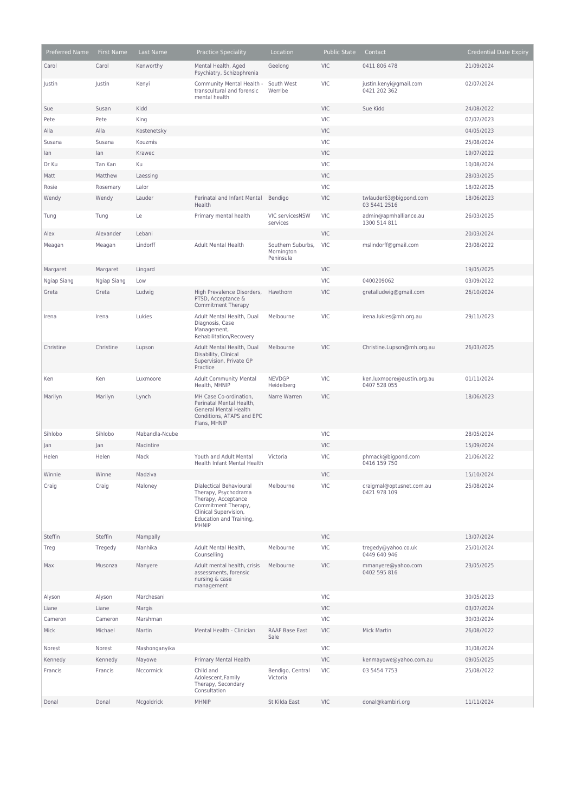| Preferred Name | <b>First Name</b> | Last Name      | <b>Practice Speciality</b>                                                                                                                                 | Location                                     | <b>Public State</b> | Contact                                    | <b>Credential Date Expiry</b> |
|----------------|-------------------|----------------|------------------------------------------------------------------------------------------------------------------------------------------------------------|----------------------------------------------|---------------------|--------------------------------------------|-------------------------------|
| Carol          | Carol             | Kenworthy      | Mental Health, Aged<br>Psychiatry, Schizophrenia                                                                                                           | Geelong                                      | <b>VIC</b>          | 0411 806 478                               | 21/09/2024                    |
| Justin         | Justin            | Kenyi          | Community Mental Health -<br>transcultural and forensic<br>mental health                                                                                   | South West<br>Werribe                        | <b>VIC</b>          | justin.kenyi@gmail.com<br>0421 202 362     | 02/07/2024                    |
| Sue            | Susan             | Kidd           |                                                                                                                                                            |                                              | <b>VIC</b>          | Sue Kidd                                   | 24/08/2022                    |
| Pete           | Pete              | King           |                                                                                                                                                            |                                              | VIC                 |                                            | 07/07/2023                    |
| Alla           | Alla              | Kostenetsky    |                                                                                                                                                            |                                              | <b>VIC</b>          |                                            | 04/05/2023                    |
| Susana         | Susana            | Kouzmis        |                                                                                                                                                            |                                              | <b>VIC</b>          |                                            | 25/08/2024                    |
| lan            | lan               | Krawec         |                                                                                                                                                            |                                              | <b>VIC</b>          |                                            | 19/07/2022                    |
| Dr Ku          | Tan Kan           | Ku             |                                                                                                                                                            |                                              | VIC                 |                                            | 10/08/2024                    |
| Matt           | Matthew           | Laessing       |                                                                                                                                                            |                                              | <b>VIC</b>          |                                            | 28/03/2025                    |
| Rosie          | Rosemary          | Lalor          |                                                                                                                                                            |                                              | <b>VIC</b>          |                                            | 18/02/2025                    |
| Wendy          | Wendy             | Lauder         | Perinatal and Infant Mental<br>Health                                                                                                                      | Bendigo                                      | <b>VIC</b>          | twlauder63@bigpond.com<br>03 5441 2516     | 18/06/2023                    |
| Tung           | Tung              | Le             | Primary mental health                                                                                                                                      | VIC servicesNSW<br>services                  | <b>VIC</b>          | admin@apmhalliance.au<br>1300 514 811      | 26/03/2025                    |
| Alex           | Alexander         | Lebani         |                                                                                                                                                            |                                              | <b>VIC</b>          |                                            | 20/03/2024                    |
| Meagan         | Meagan            | Lindorff       | Adult Mental Health                                                                                                                                        | Southern Suburbs,<br>Mornington<br>Peninsula | <b>VIC</b>          | mslindorff@gmail.com                       | 23/08/2022                    |
| Margaret       | Margaret          | Lingard        |                                                                                                                                                            |                                              | <b>VIC</b>          |                                            | 19/05/2025                    |
| Ngiap Siang    | Ngiap Siang       | Low            |                                                                                                                                                            |                                              | <b>VIC</b>          | 0400209062                                 | 03/09/2022                    |
| Greta          | Greta             | Ludwig         | High Prevalence Disorders,<br>PTSD, Acceptance &<br><b>Commitment Therapy</b>                                                                              | Hawthorn                                     | <b>VIC</b>          | gretalludwig@gmail.com                     | 26/10/2024                    |
| Irena          | Irena             | Lukies         | Adult Mental Health, Dual<br>Diagnosis, Case<br>Management,<br>Rehabilitation/Recovery                                                                     | Melbourne                                    | <b>VIC</b>          | irena.lukies@mh.org.au                     | 29/11/2023                    |
| Christine      | Christine         | Lupson         | Adult Mental Health, Dual<br>Disability, Clinical<br>Supervision, Private GP<br>Practice                                                                   | Melbourne                                    | <b>VIC</b>          | Christine.Lupson@mh.org.au                 | 26/03/2025                    |
| Ken            | Ken               | Luxmoore       | <b>Adult Community Mental</b><br>Health, MHNIP                                                                                                             | <b>NEVDGP</b><br>Heidelberg                  | <b>VIC</b>          | ken.luxmoore@austin.org.au<br>0407 528 055 | 01/11/2024                    |
| Marilyn        | Marilyn           | Lynch          | MH Case Co-ordination,<br>Perinatal Mental Health,<br><b>General Mental Health</b><br>Conditions, ATAPS and EPC<br>Plans, MHNIP                            | Narre Warren                                 | <b>VIC</b>          |                                            | 18/06/2023                    |
| Sihlobo        | Sihlobo           | Mabandla-Ncube |                                                                                                                                                            |                                              | <b>VIC</b>          |                                            | 28/05/2024                    |
| Jan            | Jan               | Macintire      |                                                                                                                                                            |                                              | <b>VIC</b>          |                                            | 15/09/2024                    |
| Helen          | Helen             | Mack           | Youth and Adult Mental<br><b>Health Infant Mental Health</b>                                                                                               | Victoria                                     | <b>VIC</b>          | phmack@bigpond.com<br>0416 159 750         | 21/06/2022                    |
| Winnie         | Winne             | Madziva        |                                                                                                                                                            |                                              | <b>VIC</b>          |                                            | 15/10/2024                    |
| Craig          | Craig             | Maloney        | Dialectical Behavioural<br>Therapy, Psychodrama<br>Therapy, Acceptance<br>Commitment Therapy,<br>Clinical Supervision,<br>Education and Training,<br>MHNIP | Melbourne                                    | <b>VIC</b>          | craigmal@optusnet.com.au<br>0421 978 109   | 25/08/2024                    |
| Steffin        | Steffin           | Mampally       |                                                                                                                                                            |                                              | <b>VIC</b>          |                                            | 13/07/2024                    |
| Treg           | Tregedy           | Manhika        | Adult Mental Health,<br>Counselling                                                                                                                        | Melbourne                                    | <b>VIC</b>          | tregedy@yahoo.co.uk<br>0449 640 946        | 25/01/2024                    |
| Max            | Musonza           | Manyere        | Adult mental health, crisis<br>assessments, forensic<br>nursing & case<br>management                                                                       | Melbourne                                    | <b>VIC</b>          | mmanyere@yahoo.com<br>0402 595 816         | 23/05/2025                    |
| Alyson         | Alyson            | Marchesani     |                                                                                                                                                            |                                              | <b>VIC</b>          |                                            | 30/05/2023                    |
| Liane          | Liane             | Margis         |                                                                                                                                                            |                                              | <b>VIC</b>          |                                            | 03/07/2024                    |
| Cameron        | Cameron           | Marshman       |                                                                                                                                                            |                                              | <b>VIC</b>          |                                            | 30/03/2024                    |
| Mick           | Michael           | Martin         | Mental Health - Clinician                                                                                                                                  | RAAF Base East<br>Sale                       | <b>VIC</b>          | Mick Martin                                | 26/08/2022                    |
| Norest         | Norest            | Mashonganyika  |                                                                                                                                                            |                                              | <b>VIC</b>          |                                            | 31/08/2024                    |
| Kennedy        | Kennedy           | Mayowe         | Primary Mental Health                                                                                                                                      |                                              | <b>VIC</b>          | kenmayowe@yahoo.com.au                     | 09/05/2025                    |
| Francis        | Francis           | Mccormick      | Child and<br>Adolescent, Family<br>Therapy, Secondary<br>Consultation                                                                                      | Bendigo, Central<br>Victoria                 | <b>VIC</b>          | 03 5454 7753                               | 25/08/2022                    |
| Donal          | Donal             | Mcgoldrick     | MHNIP                                                                                                                                                      | St Kilda East                                | <b>VIC</b>          | donal@kambiri.org                          | 11/11/2024                    |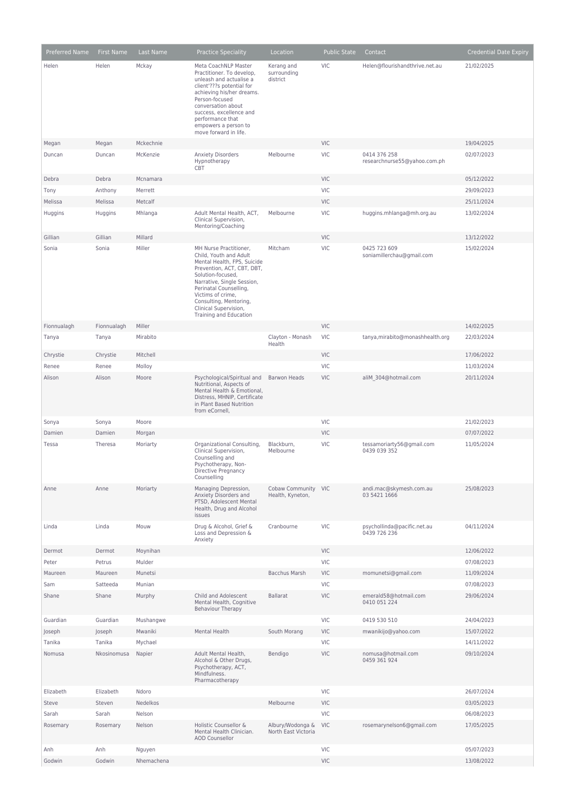| Preferred Name | First Name  | Last Name  | <b>Practice Speciality</b>                                                                                                                                                                                                                                                                   | Location                                | <b>Public State</b> | Contact                                      | <b>Credential Date Expiry</b> |
|----------------|-------------|------------|----------------------------------------------------------------------------------------------------------------------------------------------------------------------------------------------------------------------------------------------------------------------------------------------|-----------------------------------------|---------------------|----------------------------------------------|-------------------------------|
| Helen          | Helen       | Mckay      | Meta CoachNLP Master<br>Practitioner. To develop.<br>unleash and actualise a<br>client'???s potential for<br>achieving his/her dreams.<br>Person-focused<br>conversation about<br>success, excellence and<br>performance that<br>empowers a person to<br>move forward in life.               | Kerang and<br>surrounding<br>district   | <b>VIC</b>          | Helen@flourishandthrive.net.au               | 21/02/2025                    |
| Megan          | Megan       | Mckechnie  |                                                                                                                                                                                                                                                                                              |                                         | <b>VIC</b>          |                                              | 19/04/2025                    |
| Duncan         | Duncan      | McKenzie   | <b>Anxiety Disorders</b><br>Hypnotherapy<br>CBT                                                                                                                                                                                                                                              | Melbourne                               | VIC                 | 0414 376 258<br>researchnurse55@yahoo.com.ph | 02/07/2023                    |
| Debra          | Debra       | Mcnamara   |                                                                                                                                                                                                                                                                                              |                                         | <b>VIC</b>          |                                              | 05/12/2022                    |
| Tony           | Anthony     | Merrett    |                                                                                                                                                                                                                                                                                              |                                         | <b>VIC</b>          |                                              | 29/09/2023                    |
| Melissa        | Melissa     | Metcalf    |                                                                                                                                                                                                                                                                                              |                                         | <b>VIC</b>          |                                              | 25/11/2024                    |
| Huggins        | Huggins     | Mhlanga    | Adult Mental Health, ACT,<br>Clinical Supervision,<br>Mentoring/Coaching                                                                                                                                                                                                                     | Melbourne                               | VIC                 | huggins.mhlanga@mh.org.au                    | 13/02/2024                    |
| Gillian        | Gillian     | Millard    |                                                                                                                                                                                                                                                                                              |                                         | VIC                 |                                              | 13/12/2022                    |
| Sonia          | Sonia       | Miller     | MH Nurse Practitioner,<br>Child, Youth and Adult<br>Mental Health, FPS, Suicide<br>Prevention, ACT, CBT, DBT,<br>Solution-focused,<br>Narrative, Single Session,<br>Perinatal Counselling,<br>Victims of crime,<br>Consulting, Mentoring,<br>Clinical Supervision,<br>Training and Education | Mitcham                                 | VIC                 | 0425 723 609<br>soniamillerchau@gmail.com    | 15/02/2024                    |
| Fionnualagh    | Fionnualagh | Miller     |                                                                                                                                                                                                                                                                                              |                                         | <b>VIC</b>          |                                              | 14/02/2025                    |
| Tanya          | Tanya       | Mirabito   |                                                                                                                                                                                                                                                                                              | Clayton - Monash<br>Health              | <b>VIC</b>          | tanya, mirabito@monashhealth.org             | 22/03/2024                    |
| Chrystie       | Chrystie    | Mitchell   |                                                                                                                                                                                                                                                                                              |                                         | <b>VIC</b>          |                                              | 17/06/2022                    |
| Renee          | Renee       | Molloy     |                                                                                                                                                                                                                                                                                              |                                         | VIC                 |                                              | 11/03/2024                    |
| Alison         | Alison      | Moore      | Psychological/Spiritual and<br>Nutritional, Aspects of<br>Mental Health & Emotional,<br>Distress, MHNIP, Certificate<br>in Plant Based Nutrition<br>from eCornell,                                                                                                                           | <b>Barwon Heads</b>                     | <b>VIC</b>          | aliM 304@hotmail.com                         | 20/11/2024                    |
| Sonya          | Sonya       | Moore      |                                                                                                                                                                                                                                                                                              |                                         | VIC                 |                                              | 21/02/2023                    |
| Damien         | Damien      | Morgan     |                                                                                                                                                                                                                                                                                              |                                         | <b>VIC</b>          |                                              | 07/07/2022                    |
| Tessa          | Theresa     | Moriarty   | Organizational Consulting,<br>Clinical Supervision,<br>Counselling and<br>Psychotherapy, Non-<br>Directive Pregnancy<br>Counselling                                                                                                                                                          | Blackburn.<br>Melbourne                 | VIC                 | tessamoriarty56@gmail.com<br>0439 039 352    | 11/05/2024                    |
| Anne           | Anne        | Moriarty   | Managing Depression,<br>Anxiety Disorders and<br>PTSD, Adolescent Mental<br>Health, Drug and Alcohol<br>issues                                                                                                                                                                               | Cobaw Community VIC<br>Health, Kyneton, |                     | andi.mac@skymesh.com.au<br>03 5421 1666      | 25/08/2023                    |
| Linda          | Linda       | Mouw       | Drug & Alcohol, Grief &<br>Loss and Depression &<br>Anxiety                                                                                                                                                                                                                                  | Cranbourne                              | VIC                 | psychollinda@pacific.net.au<br>0439 726 236  | 04/11/2024                    |
| Dermot         | Dermot      | Moynihan   |                                                                                                                                                                                                                                                                                              |                                         | <b>VIC</b>          |                                              | 12/06/2022                    |
| Peter          | Petrus      | Mulder     |                                                                                                                                                                                                                                                                                              |                                         | VIC                 |                                              | 07/08/2023                    |
| Maureen        | Maureen     | Munetsi    |                                                                                                                                                                                                                                                                                              | <b>Bacchus Marsh</b>                    | VIC                 | momunetsi@gmail.com                          | 11/09/2024                    |
| Sam            | Satteeda    | Munian     |                                                                                                                                                                                                                                                                                              |                                         | VIC                 |                                              | 07/08/2023                    |
| Shane          | Shane       | Murphy     | Child and Adolescent<br>Mental Health, Cognitive<br><b>Behaviour Therapy</b>                                                                                                                                                                                                                 | <b>Ballarat</b>                         | VIC                 | emerald58@hotmail.com<br>0410 051 224        | 29/06/2024                    |
| Guardian       | Guardian    | Mushangwe  |                                                                                                                                                                                                                                                                                              |                                         | VIC                 | 0419 530 510                                 | 24/04/2023                    |
| Joseph         | Joseph      | Mwaniki    | Mental Health                                                                                                                                                                                                                                                                                | South Morang                            | <b>VIC</b>          | mwanikijo@yahoo.com                          | 15/07/2022                    |
| Tanika         | Tanika      | Mychael    |                                                                                                                                                                                                                                                                                              |                                         | VIC                 |                                              | 14/11/2022                    |
| Nomusa         | Nkosinomusa | Napier     | Adult Mental Health,<br>Alcohol & Other Drugs,<br>Psychotherapy, ACT,<br>Mindfulness.<br>Pharmacotherapy                                                                                                                                                                                     | Bendigo                                 | VIC                 | nomusa@hotmail.com<br>0459 361 924           | 09/10/2024                    |
| Elizabeth      | Elizabeth   | Ndoro      |                                                                                                                                                                                                                                                                                              |                                         | VIC                 |                                              | 26/07/2024                    |
| Steve          | Steven      | Nedelkos   |                                                                                                                                                                                                                                                                                              | Melbourne                               | <b>VIC</b>          |                                              | 03/05/2023                    |
| Sarah          | Sarah       | Nelson     |                                                                                                                                                                                                                                                                                              |                                         | VIC                 |                                              | 06/08/2023                    |
| Rosemary       | Rosemary    | Nelson     | Holistic Counsellor &<br>Mental Health Clinician.<br><b>AOD Counsellor</b>                                                                                                                                                                                                                   | Albury/Wodonga &<br>North East Victoria | <b>VIC</b>          | rosemarynelson6@gmail.com                    | 17/05/2025                    |
| Anh            | Anh         | Nguyen     |                                                                                                                                                                                                                                                                                              |                                         | VIC                 |                                              | 05/07/2023                    |
| Godwin         | Godwin      | Nhemachena |                                                                                                                                                                                                                                                                                              |                                         | VIC                 |                                              | 13/08/2022                    |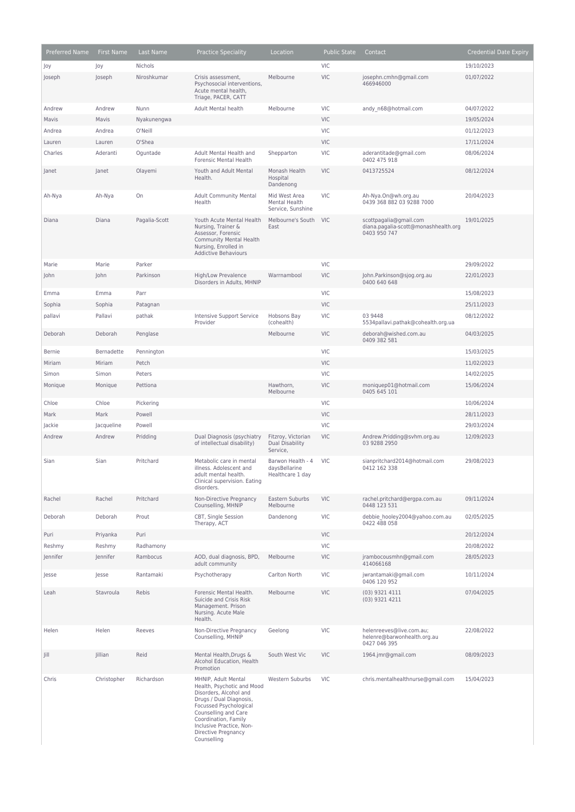| Preferred Name   | <b>First Name</b>    | Last Name     | <b>Practice Speciality</b>                                                                                                                                                                                                                         | Location                                               | <b>Public State</b>      | Contact                                                                        | <b>Credential Date Expiry</b> |
|------------------|----------------------|---------------|----------------------------------------------------------------------------------------------------------------------------------------------------------------------------------------------------------------------------------------------------|--------------------------------------------------------|--------------------------|--------------------------------------------------------------------------------|-------------------------------|
| Joy              | Joy                  | Nichols       |                                                                                                                                                                                                                                                    |                                                        | <b>VIC</b>               |                                                                                | 19/10/2023                    |
| Joseph           | Joseph               | Niroshkumar   | Crisis assessment,<br>Psychosocial interventions,<br>Acute mental health,<br>Triage, PACER, CATT                                                                                                                                                   | Melbourne                                              | <b>VIC</b>               | josephn.cmhn@gmail.com<br>466946000                                            | 01/07/2022                    |
| Andrew           | Andrew               | Nunn          | Adult Mental health                                                                                                                                                                                                                                | Melbourne                                              | <b>VIC</b>               | andy_n68@hotmail.com                                                           | 04/07/2022                    |
| Mavis            | Mavis                | Nyakunengwa   |                                                                                                                                                                                                                                                    |                                                        | <b>VIC</b>               |                                                                                | 19/05/2024                    |
| Andrea           | Andrea               | O'Neill       |                                                                                                                                                                                                                                                    |                                                        | <b>VIC</b>               |                                                                                | 01/12/2023                    |
| Lauren           | Lauren               | O'Shea        |                                                                                                                                                                                                                                                    |                                                        | <b>VIC</b>               |                                                                                | 17/11/2024                    |
| Charles          | Aderanti             | Oguntade      | Adult Mental Health and<br><b>Forensic Mental Health</b>                                                                                                                                                                                           | Shepparton                                             | <b>VIC</b>               | aderantitade@gmail.com<br>0402 475 918                                         | 08/06/2024                    |
| Janet            | Janet                | Olayemi       | Youth and Adult Mental<br>Health.                                                                                                                                                                                                                  | Monash Health<br>Hospital<br>Dandenong                 | <b>VIC</b>               | 0413725524                                                                     | 08/12/2024                    |
| Ah-Nya           | Ah-Nya               | On            | <b>Adult Community Mental</b><br>Health                                                                                                                                                                                                            | Mid West Area<br>Mental Health<br>Service, Sunshine    | <b>VIC</b>               | Ah-Nya.On@wh.org.au<br>0439 368 882 03 9288 7000                               | 20/04/2023                    |
| Diana            | Diana                | Pagalia-Scott | Youth Acute Mental Health<br>Nursing, Trainer &<br>Assessor, Forensic<br><b>Community Mental Health</b><br>Nursing, Enrolled in<br><b>Addictive Behaviours</b>                                                                                     | Melbourne's South<br>East                              | <b>VIC</b>               | scottpagalia@gmail.com<br>diana.pagalia-scott@monashhealth.org<br>0403 950 747 | 19/01/2025                    |
| Marie            | Marie                | Parker        |                                                                                                                                                                                                                                                    |                                                        | <b>VIC</b>               |                                                                                | 29/09/2022                    |
| John             | John                 | Parkinson     | High/Low Prevalence<br>Disorders in Adults, MHNIP                                                                                                                                                                                                  | Warrnambool                                            | <b>VIC</b>               | John.Parkinson@sjog.org.au<br>0400 640 648                                     | 22/01/2023                    |
| Emma             | Emma                 | Parr          |                                                                                                                                                                                                                                                    |                                                        | <b>VIC</b>               |                                                                                | 15/08/2023                    |
| Sophia           | Sophia               | Patagnan      |                                                                                                                                                                                                                                                    |                                                        | <b>VIC</b>               |                                                                                | 25/11/2023                    |
| pallavi          | Pallavi              | pathak        | Intensive Support Service<br>Provider                                                                                                                                                                                                              | Hobsons Bay<br>(cohealth)                              | <b>VIC</b>               | 03 9448<br>5534pallavi.pathak@cohealth.org.ua                                  | 08/12/2022                    |
| Deborah          | Deborah              | Penglase      |                                                                                                                                                                                                                                                    | Melbourne                                              | <b>VIC</b>               | deborah@wished.com.au<br>0409 382 581                                          | 04/03/2025                    |
| <b>Bernie</b>    | Bernadette           | Pennington    |                                                                                                                                                                                                                                                    |                                                        | <b>VIC</b>               |                                                                                | 15/03/2025                    |
| Miriam           | Miriam               | Petch         |                                                                                                                                                                                                                                                    |                                                        | <b>VIC</b>               |                                                                                | 11/02/2023                    |
| Simon            | Simon                | Peters        |                                                                                                                                                                                                                                                    |                                                        | <b>VIC</b>               |                                                                                | 14/02/2025                    |
| Monique          | Monique              | Pettiona      |                                                                                                                                                                                                                                                    | Hawthorn,<br>Melbourne                                 | <b>VIC</b>               | moniquep01@hotmail.com<br>0405 645 101                                         | 15/06/2024                    |
| Chloe            | Chloe                | Pickering     |                                                                                                                                                                                                                                                    |                                                        | VIC                      |                                                                                | 10/06/2024                    |
| Mark             | Mark                 | Powell        |                                                                                                                                                                                                                                                    |                                                        | <b>VIC</b>               |                                                                                | 28/11/2023                    |
| Jackie<br>Andrew | Jacqueline<br>Andrew | Powell        |                                                                                                                                                                                                                                                    |                                                        | <b>VIC</b><br><b>VIC</b> |                                                                                | 29/03/2024<br>12/09/2023      |
|                  |                      | Pridding      | Dual Diagnosis (psychiatry<br>of intellectual disability)                                                                                                                                                                                          | Fitzroy, Victorian<br>Dual Disability<br>Service,      |                          | Andrew.Pridding@svhm.org.au<br>03 9288 2950                                    |                               |
| Sian             | Sian                 | Pritchard     | Metabolic care in mental<br>illness. Adolescent and<br>adult mental health.<br>Clinical supervision. Eating<br>disorders.                                                                                                                          | Barwon Health - 4<br>daysBellarine<br>Healthcare 1 day | <b>VIC</b>               | sianpritchard2014@hotmail.com<br>0412 162 338                                  | 29/08/2023                    |
| Rachel           | Rachel               | Pritchard     | Non-Directive Pregnancy<br>Counselling, MHNIP                                                                                                                                                                                                      | Eastern Suburbs<br>Melbourne                           | <b>VIC</b>               | rachel.pritchard@ergpa.com.au<br>0448 123 531                                  | 09/11/2024                    |
| Deborah          | Deborah              | Prout         | CBT, Single Session<br>Therapy, ACT                                                                                                                                                                                                                | Dandenong                                              | VIC                      | debbie hooley2004@yahoo.com.au<br>0422 488 058                                 | 02/05/2025                    |
| Puri             | Priyanka             | Puri          |                                                                                                                                                                                                                                                    |                                                        | <b>VIC</b>               |                                                                                | 20/12/2024                    |
| Reshmy           | Reshmy               | Radhamony     |                                                                                                                                                                                                                                                    |                                                        | VIC                      |                                                                                | 20/08/2022                    |
| Jennifer         | Jennifer             | Rambocus      | AOD, dual diagnosis, BPD,<br>adult community                                                                                                                                                                                                       | Melbourne                                              | <b>VIC</b>               | jrambocousmhn@gmail.com<br>414066168                                           | 28/05/2023                    |
| Jesse            | Jesse                | Rantamaki     | Psychotherapy                                                                                                                                                                                                                                      | Carlton North                                          | VIC                      | jwrantamaki@gmail.com<br>0406 120 952                                          | 10/11/2024                    |
| Leah             | Stavroula            | Rebis         | Forensic Mental Health.<br>Suicide and Crisis Risk<br>Management. Prison<br>Nursing. Acute Male<br>Health.                                                                                                                                         | Melbourne                                              | <b>VIC</b>               | (03) 9321 4111<br>(03) 9321 4211                                               | 07/04/2025                    |
| Helen            | Helen                | Reeves        | Non-Directive Pregnancy<br>Counselling, MHNIP                                                                                                                                                                                                      | Geelong                                                | <b>VIC</b>               | helenreeves@live.com.au;<br>helenre@barwonhealth.org.au<br>0427 046 395        | 22/08/2022                    |
| Jill             | Jillian              | Reid          | Mental Health, Drugs &<br>Alcohol Education, Health<br>Promotion                                                                                                                                                                                   | South West Vic                                         | <b>VIC</b>               | 1964.jmr@gmail.com                                                             | 08/09/2023                    |
| Chris            | Christopher          | Richardson    | MHNIP, Adult Mental<br>Health, Psychotic and Mood<br>Disorders, Alcohol and<br>Drugs / Dual Diagnosis,<br>Focussed Psychological<br>Counselling and Care<br>Coordination, Family<br>Inclusive Practice, Non-<br>Directive Pregnancy<br>Counselling | Western Suburbs                                        | VIC                      | chris.mentalhealthnurse@gmail.com                                              | 15/04/2023                    |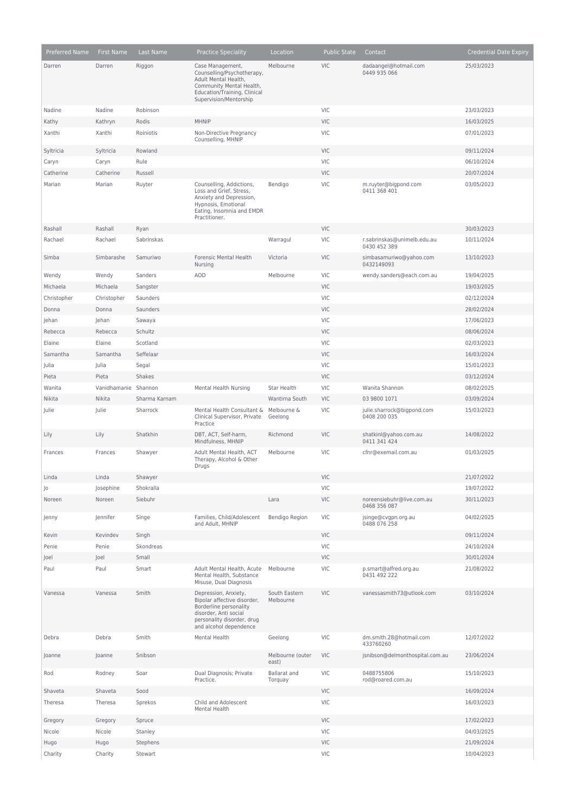| Preferred Name | <b>First Name</b>    | Last Name     | <b>Practice Speciality</b>                                                                                                                                     | Location                       | <b>Public State</b> | Contact                                     | <b>Credential Date Expiry</b> |
|----------------|----------------------|---------------|----------------------------------------------------------------------------------------------------------------------------------------------------------------|--------------------------------|---------------------|---------------------------------------------|-------------------------------|
| Darren         | Darren               | Riggon        | Case Management,                                                                                                                                               | Melbourne                      | <b>VIC</b>          | dadaangel@hotmail.com                       | 25/03/2023                    |
|                |                      |               | Counselling/Psychotherapy,<br>Adult Mental Health,<br>Community Mental Health,<br>Education/Training, Clinical<br>Supervision/Mentorship                       |                                |                     | 0449 935 066                                |                               |
| Nadine         | Nadine               | Robinson      |                                                                                                                                                                |                                | <b>VIC</b>          |                                             | 23/03/2023                    |
| Kathy          | Kathryn              | Rodis         | <b>MHNIP</b>                                                                                                                                                   |                                | <b>VIC</b>          |                                             | 16/03/2025                    |
| Xanthi         | Xanthi               | Roiniotis     | Non-Directive Pregnancy<br>Counselling, MHNIP                                                                                                                  |                                | VIC                 |                                             | 07/01/2023                    |
| Syltricia      | Syltricia            | Rowland       |                                                                                                                                                                |                                | VIC                 |                                             | 09/11/2024                    |
| Caryn          | Caryn                | Rule          |                                                                                                                                                                |                                | VIC                 |                                             | 06/10/2024                    |
| Catherine      | Catherine            | Russell       |                                                                                                                                                                |                                | <b>VIC</b>          |                                             | 20/07/2024                    |
| Marian         | Marian               | Ruyter        | Counselling, Addictions,<br>Loss and Grief, Stress,<br>Anxiety and Depression,<br>Hypnosis, Emotional<br>Eating, Insomnia and EMDR<br>Practitioner.            | Bendigo                        | <b>VIC</b>          | m.ruyter@bigpond.com<br>0411 368 401        | 03/05/2023                    |
| Rashall        | Rashall              | Ryan          |                                                                                                                                                                |                                | <b>VIC</b>          |                                             | 30/03/2023                    |
| Rachael        | Rachael              | Sabrinskas    |                                                                                                                                                                | Warragul                       | <b>VIC</b>          | r.sabrinskas@unimelb.edu.au<br>0430 452 389 | 10/11/2024                    |
| Simba          | Simbarashe           | Samuriwo      | Forensic Mental Health<br>Nursing                                                                                                                              | Victoria                       | <b>VIC</b>          | simbasamuriwo@yahoo.com<br>0432149093       | 13/10/2023                    |
| Wendy          | Wendy                | Sanders       | <b>AOD</b>                                                                                                                                                     | Melbourne                      | <b>VIC</b>          | wendy.sanders@each.com.au                   | 19/04/2025                    |
| Michaela       | Michaela             | Sangster      |                                                                                                                                                                |                                | <b>VIC</b>          |                                             | 19/03/2025                    |
| Christopher    | Christopher          | Saunders      |                                                                                                                                                                |                                | VIC                 |                                             | 02/12/2024                    |
| Donna          | Donna                | Saunders      |                                                                                                                                                                |                                | <b>VIC</b>          |                                             | 28/02/2024                    |
| Jehan          | Jehan                | Sawaya        |                                                                                                                                                                |                                | <b>VIC</b>          |                                             | 17/06/2023                    |
| Rebecca        | Rebecca              | Schultz       |                                                                                                                                                                |                                | <b>VIC</b>          |                                             | 08/06/2024                    |
| Elaine         | Elaine               | Scotland      |                                                                                                                                                                |                                | VIC                 |                                             | 02/03/2023                    |
| Samantha       | Samantha             | Seffelaar     |                                                                                                                                                                |                                | <b>VIC</b>          |                                             | 16/03/2024                    |
| Julia          | Julia                | Segal         |                                                                                                                                                                |                                | <b>VIC</b>          |                                             | 15/01/2023                    |
| Pieta          | Pieta                | Shakes        |                                                                                                                                                                |                                | VIC                 |                                             | 03/12/2024                    |
| Wanita         | Vanidhamanie Shannon |               | <b>Mental Health Nursing</b>                                                                                                                                   | <b>Star Health</b>             | <b>VIC</b>          | Wanita Shannon                              | 08/02/2025                    |
| Nikita         | Nikita               | Sharma Karnam |                                                                                                                                                                | Wantirna South                 | <b>VIC</b>          | 03 9800 1071                                | 03/09/2024                    |
| Julie          | Julie                | Sharrock      | Mental Health Consultant &                                                                                                                                     | Melbourne &                    | <b>VIC</b>          | julie.sharrock@bigpond.com                  | 15/03/2023                    |
|                |                      |               | Clinical Supervisor, Private<br>Practice                                                                                                                       | Geelong                        |                     | 0408 200 035                                |                               |
| Lily           | Lily                 | Shatkhin      | DBT, ACT, Self-harm,<br>Mindfulness, MHNIP                                                                                                                     | Richmond                       | <b>VIC</b>          | shatkinl@yahoo.com.au<br>0411 341 424       | 14/08/2022                    |
| Frances        | Frances              | Shawyer       | Adult Mental Health, ACT<br>Therapy, Alcohol & Other<br>Drugs                                                                                                  | Melbourne                      | <b>VIC</b>          | cfnr@exemail.com.au                         | 01/03/2025                    |
| Linda          | Linda                | Shawyer       |                                                                                                                                                                |                                | VIC.                |                                             | 21/07/2022                    |
| Jo             | Josephine            | Shokralla     |                                                                                                                                                                |                                | <b>VIC</b>          |                                             | 19/07/2022                    |
| Noreen         | Noreen               | Siebuhr       |                                                                                                                                                                | Lara                           | <b>VIC</b>          | noreensiebuhr@live.com.au<br>0468 356 087   | 30/11/2023                    |
| Jenny          | Jennifer             | Singe         | Families, Child/Adolescent<br>and Adult, MHNIP                                                                                                                 | Bendigo Region                 | <b>VIC</b>          | jsinge@cvgpn.org.au<br>0488 076 258         | 04/02/2025                    |
| Kevin          | Kevindev             | Singh         |                                                                                                                                                                |                                | <b>VIC</b>          |                                             | 09/11/2024                    |
| Penie          | Penie                | Skondreas     |                                                                                                                                                                |                                | VIC                 |                                             | 24/10/2024                    |
| Joel           | Joel                 | Small         |                                                                                                                                                                |                                | VIC                 |                                             | 30/01/2024                    |
| Paul           | Paul                 | Smart         | Adult Mental Health, Acute<br>Mental Health, Substance<br>Misuse, Dual Diagnosis                                                                               | Melbourne                      | VIC                 | p.smart@alfred.org.au<br>0431 492 222       | 21/08/2022                    |
| Vanessa        | Vanessa              | Smith         | Depression, Anxiety,<br>Bipolar affective disorder,<br>Borderline personality<br>disorder, Anti social<br>personality disorder, drug<br>and alcohol dependence | South Eastern<br>Melbourne     | VIC                 | vanessasmith73@utlook.com                   | 03/10/2024                    |
| Debra          | Debra                | Smith         | Mental Health                                                                                                                                                  | Geelong                        | VIC                 | dm.smith.28@hotmail.com<br>433760260        | 12/07/2022                    |
| Joanne         | Joanne               | Snibson       |                                                                                                                                                                | Melbourne (outer<br>east)      | <b>VIC</b>          | jsnibson@delmonthospital.com.au             | 23/06/2024                    |
| Rod            | Rodney               | Soar          | Dual Diagnosis; Private<br>Practice.                                                                                                                           | <b>Ballarat</b> and<br>Torquay | <b>VIC</b>          | 0488755806<br>rod@roared.com.au             | 15/10/2023                    |
| Shaveta        | Shaveta              | Sood          |                                                                                                                                                                |                                | VIC                 |                                             | 16/09/2024                    |
| Theresa        | Theresa              | Sprekos       | Child and Adolescent                                                                                                                                           |                                | VIC                 |                                             | 16/03/2023                    |
|                |                      |               | Mental Health                                                                                                                                                  |                                |                     |                                             |                               |
| Gregory        | Gregory              | Spruce        |                                                                                                                                                                |                                | VIC                 |                                             | 17/02/2023                    |
| Nicole         | Nicole               | Stanley       |                                                                                                                                                                |                                | VIC                 |                                             | 04/03/2025                    |
| Hugo           | Hugo                 | Stephens      |                                                                                                                                                                |                                | <b>VIC</b>          |                                             | 21/09/2024                    |
| Charity        | Charity              | Stewart       |                                                                                                                                                                |                                | VIC                 |                                             | 10/04/2023                    |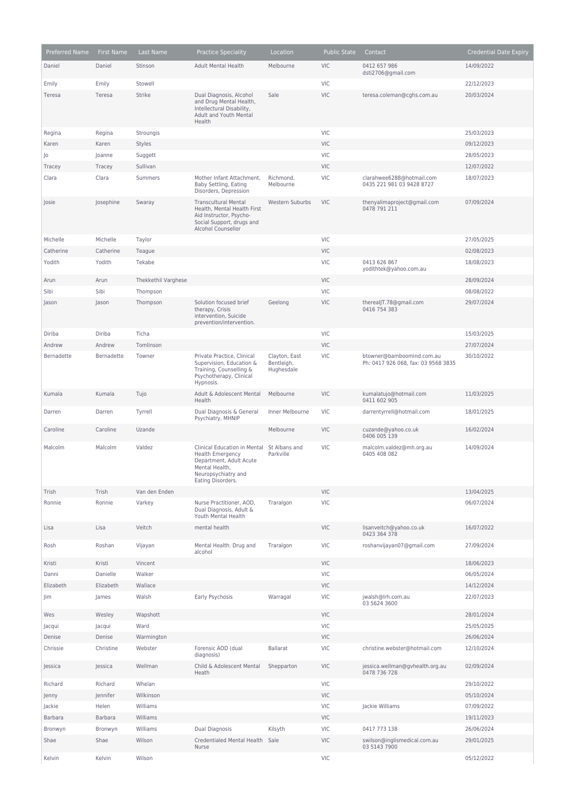| Preferred Name | First Name | Last Name           | <b>Practice Speciality</b>                                                                                                                                     | Location                                  | <b>Public State</b> | Contact                                                          | <b>Credential Date Expiry</b> |
|----------------|------------|---------------------|----------------------------------------------------------------------------------------------------------------------------------------------------------------|-------------------------------------------|---------------------|------------------------------------------------------------------|-------------------------------|
| Daniel         | Daniel     | Stinson             | <b>Adult Mental Health</b>                                                                                                                                     | Melbourne                                 | <b>VIC</b>          | 0412 657 986<br>dsti2706@gmail.com                               | 14/09/2022                    |
| Emily          | Emily      | Stowell             |                                                                                                                                                                |                                           | <b>VIC</b>          |                                                                  | 22/12/2023                    |
| Teresa         | Teresa     | <b>Strike</b>       | Dual Diagnosis, Alcohol<br>and Drug Mental Health,<br>Intellectural Disability,<br>Adult and Youth Mental<br>Health                                            | Sale                                      | <b>VIC</b>          | teresa.coleman@cghs.com.au                                       | 20/03/2024                    |
| Regina         | Regina     | Stroungis           |                                                                                                                                                                |                                           | VIC                 |                                                                  | 25/03/2023                    |
| Karen          | Karen      | Styles              |                                                                                                                                                                |                                           | <b>VIC</b>          |                                                                  | 09/12/2023                    |
| Jo             | Joanne     | Suggett             |                                                                                                                                                                |                                           | VIC                 |                                                                  | 28/05/2023                    |
| Tracey         | Tracey     | Sullivan            |                                                                                                                                                                |                                           | <b>VIC</b>          |                                                                  | 12/07/2022                    |
| Clara          | Clara      | Summers             | Mother Infant Attachment,<br>Baby Settling, Eating<br>Disorders, Depression                                                                                    | Richmond,<br>Melbourne                    | VIC                 | clarahwee6288@hotmail.com<br>0435 221 981 03 9428 8727           | 18/07/2023                    |
| Josie          | Josephine  | Swaray              | <b>Transcultural Mental</b><br>Health, Mental Health First<br>Aid Instructor, Psycho-<br>Social Support, drugs and<br>Alcohol Counsellor                       | Western Suburbs                           | <b>VIC</b>          | thenyalimaproject@gmail.com<br>0478 791 211                      | 07/09/2024                    |
| Michelle       | Michelle   | Taylor              |                                                                                                                                                                |                                           | <b>VIC</b>          |                                                                  | 27/05/2025                    |
| Catherine      | Catherine  | Teague              |                                                                                                                                                                |                                           | <b>VIC</b>          |                                                                  | 02/08/2023                    |
| Yodith         | Yodith     | Tekabe              |                                                                                                                                                                |                                           | VIC                 | 0413 626 867<br>yodithtek@yahoo.com.au                           | 18/08/2023                    |
| Arun           | Arun       | Thekkethil Varghese |                                                                                                                                                                |                                           | <b>VIC</b>          |                                                                  | 28/09/2024                    |
| Sibi           | Sibi       | Thompson            |                                                                                                                                                                |                                           | <b>VIC</b>          |                                                                  | 08/08/2022                    |
| Jason          | Jason      | Thompson            | Solution focused brief<br>therapy, Crisis<br>intervention, Suicide<br>prevention/intervention.                                                                 | Geelong                                   | <b>VIC</b>          | therealJT.78@gmail.com<br>0416 754 383                           | 29/07/2024                    |
| Diriba         | Diriba     | Ticha               |                                                                                                                                                                |                                           | <b>VIC</b>          |                                                                  | 15/03/2025                    |
| Andrew         | Andrew     | Tomlinson           |                                                                                                                                                                |                                           | <b>VIC</b>          |                                                                  | 27/07/2024                    |
| Bernadette     | Bernadette | Towner              | Private Practice, Clinical<br>Supervision, Education &<br>Training, Counselling &<br>Psychotherapy, Clinical<br>Hypnosis.                                      | Clayton, East<br>Bentleigh,<br>Hughesdale | VIC                 | btowner@bamboomind.com.au<br>Ph: 0417 926 068, fax: 03 9568 3835 | 30/10/2022                    |
| Kumala         | Kumala     | Tujo                | Adult & Adolescent Mental<br>Health                                                                                                                            | Melbourne                                 | <b>VIC</b>          | kumalatujo@hotmail.com<br>0411 602 905                           | 11/03/2025                    |
| Darren         | Darren     | Tyrrell             | Dual Diagnosis & General<br>Psychiatry, MHNIP                                                                                                                  | Inner Melbourne                           | <b>VIC</b>          | darrentyrrell@hotmail.com                                        | 18/01/2025                    |
| Caroline       | Caroline   | Uzande              |                                                                                                                                                                | Melbourne                                 | <b>VIC</b>          | cuzande@yahoo.co.uk<br>0406 005 139                              | 16/02/2024                    |
| Malcolm        | Malcolm    | Valdez              | Clinical Education in Mental St Albans and<br><b>Health Emergency</b><br>Department, Adult Acute<br>Mental Health,<br>Neuropsychiatry and<br>Eating Disorders. | Parkville                                 | <b>VIC</b>          | malcolm.valdez@mh.org.au<br>0405 408 082                         | 14/09/2024                    |
| Trish          | Trish      | Van den Enden       |                                                                                                                                                                |                                           | <b>VIC</b>          |                                                                  | 13/04/2025                    |
| Ronnie         | Ronnie     | Varkey              | Nurse Practitioner, AOD,<br>Dual Diagnosis, Adult &<br>Youth Mental Health                                                                                     | Traralgon                                 | <b>VIC</b>          |                                                                  | 06/07/2024                    |
| Lisa           | Lisa       | Veitch              | mental health                                                                                                                                                  |                                           | <b>VIC</b>          | lisanveitch@yahoo.co.uk<br>0423 364 378                          | 16/07/2022                    |
| Rosh           | Roshan     | Vijayan             | Mental Health. Drug and<br>alcohol                                                                                                                             | Traralgon                                 | VIC                 | roshanvijayan07@gmail.com                                        | 27/09/2024                    |
| Kristi         | Kristi     | Vincent             |                                                                                                                                                                |                                           | VIC                 |                                                                  | 18/06/2023                    |
| Danni          | Danielle   | Walker              |                                                                                                                                                                |                                           | VIC                 |                                                                  | 06/05/2024                    |
| Elizabeth      | Elizabeth  | Wallace             |                                                                                                                                                                |                                           | <b>VIC</b>          |                                                                  | 14/12/2024                    |
| Jim            | James      | Walsh               | Early Psychosis                                                                                                                                                | Warragal                                  | VIC                 | jwalsh@lrh.com.au<br>03 5624 3600                                | 22/07/2023                    |
| Wes            | Wesley     | Wapshott            |                                                                                                                                                                |                                           | <b>VIC</b>          |                                                                  | 28/01/2024                    |
| Jacqui         | Jacqui     | Ward                |                                                                                                                                                                |                                           | VIC                 |                                                                  | 25/05/2025                    |
| Denise         | Denise     | Warmington          |                                                                                                                                                                |                                           | <b>VIC</b>          |                                                                  | 26/06/2024                    |
| Chrissie       | Christine  | Webster             | Forensic AOD (dual<br>diagnosis)                                                                                                                               | <b>Ballarat</b>                           | VIC                 | christine.webster@hotmail.com                                    | 12/10/2024                    |
| Jessica        | Jessica    | Wellman             | Child & Adolescent Mental<br>Heath                                                                                                                             | Shepparton                                | <b>VIC</b>          | jessica.wellman@gvhealth.org.au<br>0478 736 728                  | 02/09/2024                    |
| Richard        | Richard    | Whelan              |                                                                                                                                                                |                                           | VIC                 |                                                                  | 29/10/2022                    |
| Jenny          | Jennifer   | Wilkinson           |                                                                                                                                                                |                                           | <b>VIC</b>          |                                                                  | 05/10/2024                    |
| Jackie         | Helen      | Williams            |                                                                                                                                                                |                                           | <b>VIC</b>          | Jackie Williams                                                  | 07/09/2022                    |
| <b>Barbara</b> | Barbara    | Williams            |                                                                                                                                                                |                                           | VIC                 |                                                                  | 19/11/2023                    |
| Bronwyn        | Bronwyn    | Williams            | Dual Diagnosis                                                                                                                                                 | Kilsyth                                   | VIC                 | 0417 773 138                                                     | 26/06/2024                    |
| Shae           | Shae       | Wilson              | Credentialed Mental Health<br>Nurse                                                                                                                            | Sale                                      | <b>VIC</b>          | swilson@inglismedical.com.au<br>03 5143 7900                     | 29/01/2025                    |
| Kelvin         | Kelvin     | Wilson              |                                                                                                                                                                |                                           | VIC                 |                                                                  | 05/12/2022                    |